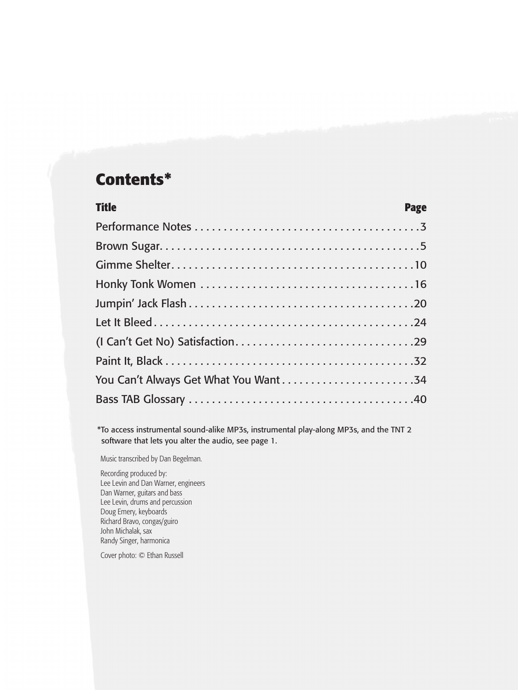## **Contents\***

| <b>Title</b> | <b>Page</b> |
|--------------|-------------|
|              |             |
|              |             |
|              |             |
|              |             |
|              |             |
|              |             |
|              |             |
|              |             |
|              |             |
|              |             |
|              |             |

\*To access instrumental sound-alike MP3s, instrumental play-along MP3s, and the TNT 2 software that lets you alter the audio, see page 1.

Music transcribed by Dan Begelman.

Recording produced by: Lee Levin and Dan Warner, engineers Dan Warner, guitars and bass Lee Levin, drums and percussion Doug Emery, keyboards Richard Bravo, congas/guiro John Michalak, sax Randy Singer, harmonica

Cover photo: © Ethan Russell